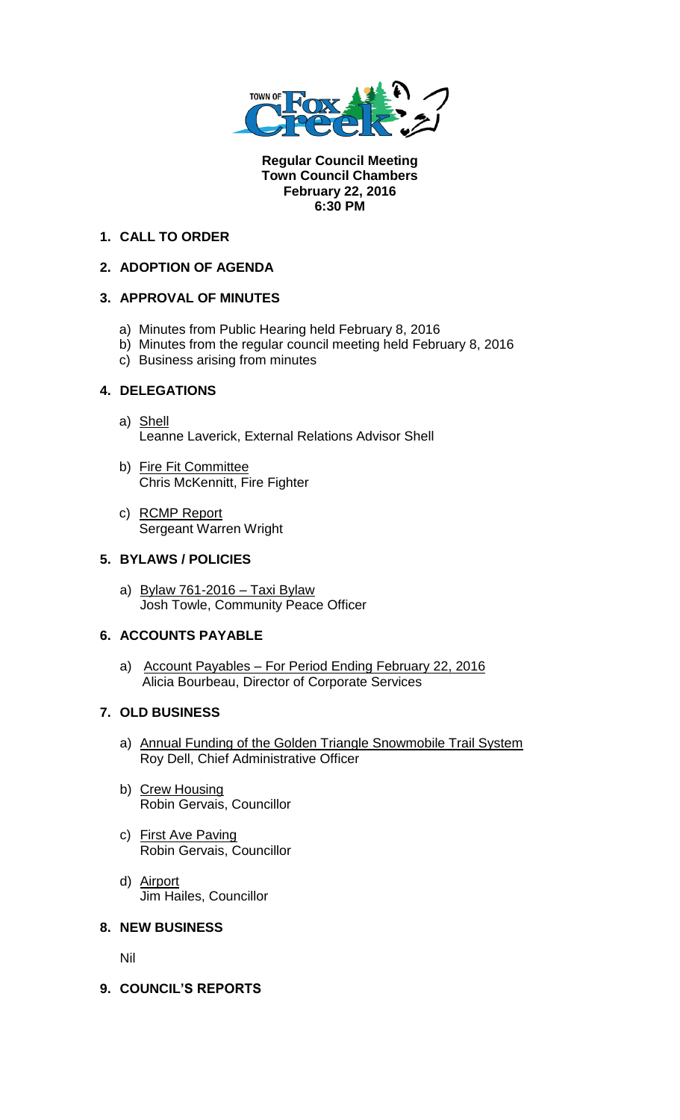

**Regular Council Meeting Town Council Chambers February 22, 2016 6:30 PM** 

# **1. CALL TO ORDER**

# **2. ADOPTION OF AGENDA**

## **3. APPROVAL OF MINUTES**

- a) Minutes from Public Hearing held February 8, 2016
- b) Minutes from the regular council meeting held February 8, 2016
- c) Business arising from minutes

### **4. DELEGATIONS**

- a) Shell Leanne Laverick, External Relations Advisor Shell
- b) Fire Fit Committee Chris McKennitt, Fire Fighter
- c) RCMP Report Sergeant Warren Wright

## **5. BYLAWS / POLICIES**

a) Bylaw 761-2016 – Taxi Bylaw Josh Towle, Community Peace Officer

## **6. ACCOUNTS PAYABLE**

a) Account Payables – For Period Ending February 22, 2016 Alicia Bourbeau, Director of Corporate Services

### **7. OLD BUSINESS**

- a) Annual Funding of the Golden Triangle Snowmobile Trail System Roy Dell, Chief Administrative Officer
- b) Crew Housing Robin Gervais, Councillor
- c) First Ave Paving Robin Gervais, Councillor
- d) Airport Jim Hailes, Councillor

#### **8. NEW BUSINESS**

Nil

**9. COUNCIL'S REPORTS**